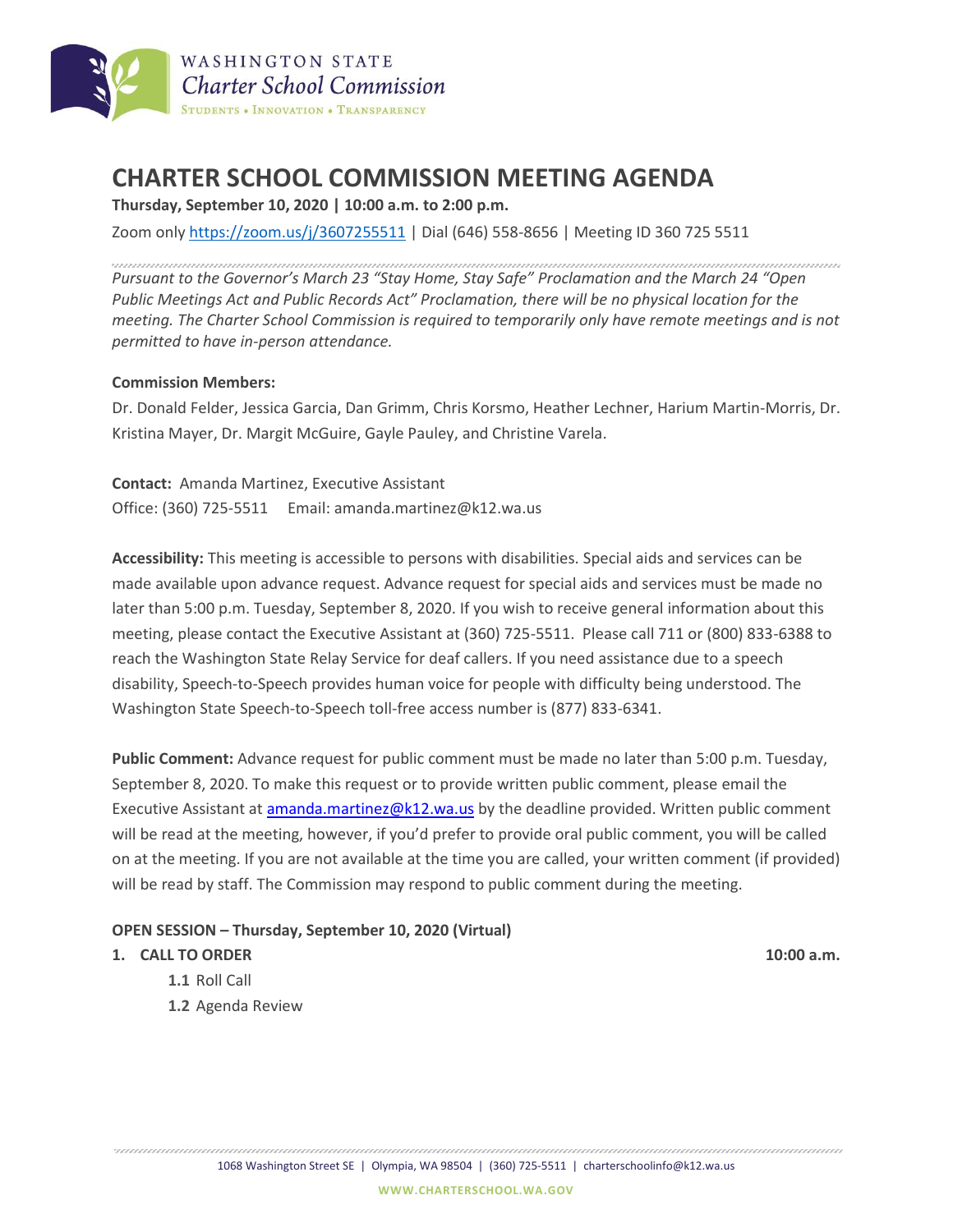

# **CHARTER SCHOOL COMMISSION MEETING AGENDA**

**Thursday, September 10, 2020 | 10:00 a.m. to 2:00 p.m.**

Zoom only <https://zoom.us/j/3607255511> | Dial (646) 558-8656 | Meeting ID 360 725 5511

*Pursuant to the Governor's March 23 "Stay Home, Stay Safe" Proclamation and the March 24 "Open Public Meetings Act and Public Records Act" Proclamation, there will be no physical location for the meeting. The Charter School Commission is required to temporarily only have remote meetings and is not permitted to have in-person attendance.*

#### **Commission Members:**

Dr. Donald Felder, Jessica Garcia, Dan Grimm, Chris Korsmo, Heather Lechner, Harium Martin-Morris, Dr. Kristina Mayer, Dr. Margit McGuire, Gayle Pauley, and Christine Varela.

**Contact:** Amanda Martinez, Executive Assistant Office: (360) 725-5511 Email: amanda.martinez@k12.wa.us

**Accessibility:** This meeting is accessible to persons with disabilities. Special aids and services can be made available upon advance request. Advance request for special aids and services must be made no later than 5:00 p.m. Tuesday, September 8, 2020. If you wish to receive general information about this meeting, please contact the Executive Assistant at (360) 725-5511. Please call 711 or (800) 833-6388 to reach the Washington State Relay Service for deaf callers. If you need assistance due to a speech disability, Speech-to-Speech provides human voice for people with difficulty being understood. The Washington State Speech-to-Speech toll-free access number is (877) 833-6341.

**Public Comment:** Advance request for public comment must be made no later than 5:00 p.m. Tuesday, September 8, 2020. To make this request or to provide written public comment, please email the Executive Assistant at [amanda.martinez@k12.wa.us](mailto:amanda.martinez@k12.wa.us) by the deadline provided. Written public comment will be read at the meeting, however, if you'd prefer to provide oral public comment, you will be called on at the meeting. If you are not available at the time you are called, your written comment (if provided) will be read by staff. The Commission may respond to public comment during the meeting.

#### **OPEN SESSION – Thursday, September 10, 2020 (Virtual)**

#### **1. CALL TO ORDER 10:00 a.m.**

- **1.1** Roll Call
- **1.2** Agenda Review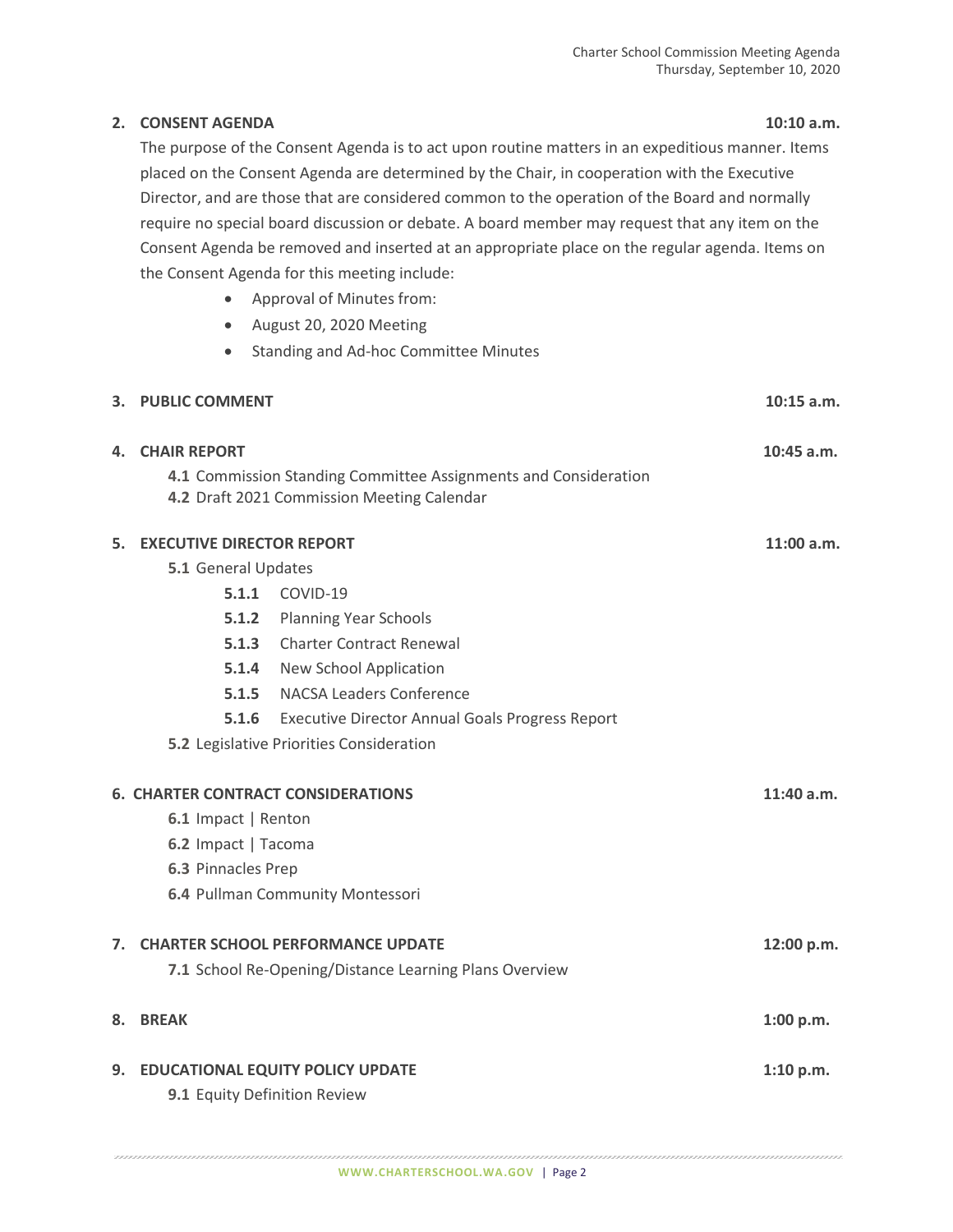### **2. CONSENT AGENDA 10:10 a.m.**

The purpose of the Consent Agenda is to act upon routine matters in an expeditious manner. Items placed on the Consent Agenda are determined by the Chair, in cooperation with the Executive Director, and are those that are considered common to the operation of the Board and normally require no special board discussion or debate. A board member may request that any item on the Consent Agenda be removed and inserted at an appropriate place on the regular agenda. Items on the Consent Agenda for this meeting include:

- Approval of Minutes from:
- August 20, 2020 Meeting
- Standing and Ad-hoc Committee Minutes

|    | 3. PUBLIC COMMENT                |                                                                                                               | $10:15$ a.m. |
|----|----------------------------------|---------------------------------------------------------------------------------------------------------------|--------------|
|    | <b>4. CHAIR REPORT</b>           |                                                                                                               | $10:45$ a.m. |
|    |                                  | 4.1 Commission Standing Committee Assignments and Consideration<br>4.2 Draft 2021 Commission Meeting Calendar |              |
| 5. | <b>EXECUTIVE DIRECTOR REPORT</b> | 11:00 a.m.                                                                                                    |              |
|    | 5.1 General Updates              |                                                                                                               |              |
|    |                                  | <b>5.1.1 COVID-19</b>                                                                                         |              |
|    |                                  | 5.1.2 Planning Year Schools                                                                                   |              |
|    | 5.1.3                            | <b>Charter Contract Renewal</b>                                                                               |              |
|    |                                  | 5.1.4 New School Application                                                                                  |              |
|    |                                  | <b>5.1.5</b> NACSA Leaders Conference                                                                         |              |
|    |                                  | 5.1.6 Executive Director Annual Goals Progress Report                                                         |              |
|    |                                  | 5.2 Legislative Priorities Consideration                                                                      |              |
|    |                                  | <b>6. CHARTER CONTRACT CONSIDERATIONS</b>                                                                     | 11:40 a.m.   |
|    | 6.1 Impact   Renton              |                                                                                                               |              |
|    | 6.2 Impact   Tacoma              |                                                                                                               |              |
|    | 6.3 Pinnacles Prep               |                                                                                                               |              |
|    |                                  | 6.4 Pullman Community Montessori                                                                              |              |
|    |                                  | 7. CHARTER SCHOOL PERFORMANCE UPDATE                                                                          | 12:00 p.m.   |
|    |                                  | 7.1 School Re-Opening/Distance Learning Plans Overview                                                        |              |
| 8. | <b>BREAK</b>                     |                                                                                                               | 1:00 p.m.    |
|    |                                  | 9. EDUCATIONAL EQUITY POLICY UPDATE                                                                           | 1:10 p.m.    |
|    | 9.1 Equity Definition Review     |                                                                                                               |              |
|    |                                  |                                                                                                               |              |